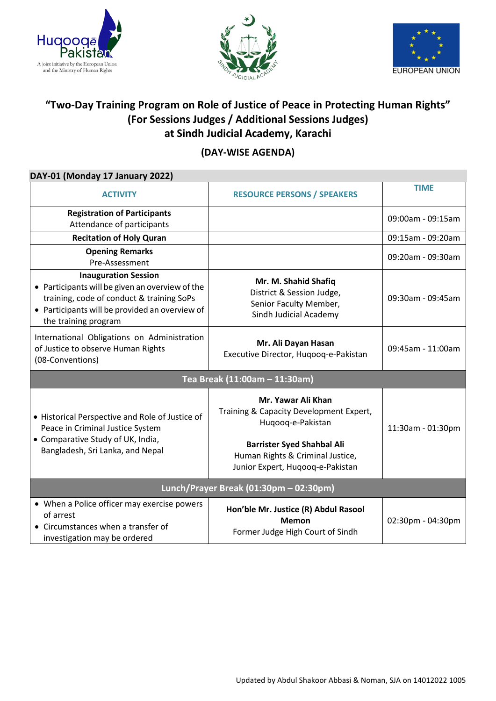





# **"Two-Day Training Program on Role of Justice of Peace in Protecting Human Rights" (For Sessions Judges / Additional Sessions Judges) at Sindh Judicial Academy, Karachi**

## **(DAY-WISE AGENDA)**

#### **DAY-01 (Monday 17 January 2022)**

| <b>ACTIVITY</b>                                                                                                                                                                                       | <b>RESOURCE PERSONS / SPEAKERS</b>                                                                                                                                                              | <b>TIME</b>       |  |
|-------------------------------------------------------------------------------------------------------------------------------------------------------------------------------------------------------|-------------------------------------------------------------------------------------------------------------------------------------------------------------------------------------------------|-------------------|--|
| <b>Registration of Participants</b><br>Attendance of participants                                                                                                                                     |                                                                                                                                                                                                 | 09:00am - 09:15am |  |
| <b>Recitation of Holy Quran</b>                                                                                                                                                                       |                                                                                                                                                                                                 | 09:15am - 09:20am |  |
| <b>Opening Remarks</b><br>Pre-Assessment                                                                                                                                                              |                                                                                                                                                                                                 | 09:20am - 09:30am |  |
| <b>Inauguration Session</b><br>• Participants will be given an overview of the<br>training, code of conduct & training SoPs<br>• Participants will be provided an overview of<br>the training program | Mr. M. Shahid Shafiq<br>District & Session Judge,<br>Senior Faculty Member,<br>Sindh Judicial Academy                                                                                           | 09:30am - 09:45am |  |
| International Obligations on Administration<br>of Justice to observe Human Rights<br>(08-Conventions)                                                                                                 | Mr. Ali Dayan Hasan<br>Executive Director, Hugoog-e-Pakistan                                                                                                                                    | 09:45am - 11:00am |  |
| Tea Break (11:00am - 11:30am)                                                                                                                                                                         |                                                                                                                                                                                                 |                   |  |
| • Historical Perspective and Role of Justice of<br>Peace in Criminal Justice System<br>• Comparative Study of UK, India,<br>Bangladesh, Sri Lanka, and Nepal                                          | Mr. Yawar Ali Khan<br>Training & Capacity Development Expert,<br>Hugoog-e-Pakistan<br><b>Barrister Syed Shahbal Ali</b><br>Human Rights & Criminal Justice,<br>Junior Expert, Hugoog-e-Pakistan | 11:30am - 01:30pm |  |
| Lunch/Prayer Break (01:30pm - 02:30pm)                                                                                                                                                                |                                                                                                                                                                                                 |                   |  |
| • When a Police officer may exercise powers<br>of arrest<br>• Circumstances when a transfer of<br>investigation may be ordered                                                                        | Hon'ble Mr. Justice (R) Abdul Rasool<br><b>Memon</b><br>Former Judge High Court of Sindh                                                                                                        | 02:30pm - 04:30pm |  |